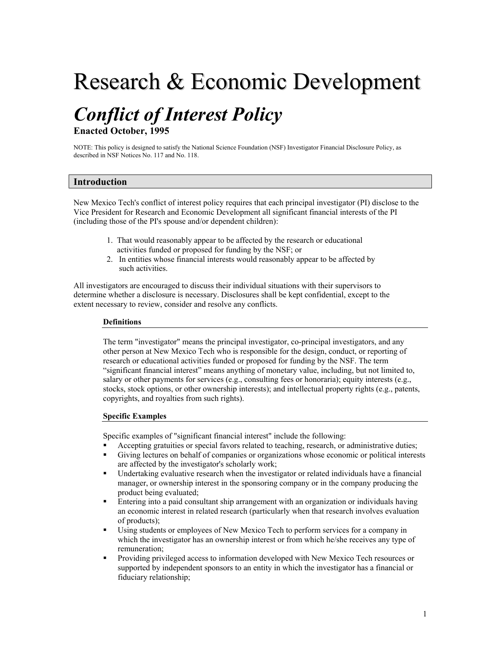# Research & Economic Development

# *Conflict of Interest Policy*

**Enacted October, 1995** 

NOTE: This policy is designed to satisfy the National Science Foundation (NSF) Investigator Financial Disclosure Policy, as described in NSF Notices No. 117 and No. 118.

# **Introduction**

New Mexico Tech's conflict of interest policy requires that each principal investigator (PI) disclose to the Vice President for Research and Economic Development all significant financial interests of the PI (including those of the PI's spouse and/or dependent children):

- 1. That would reasonably appear to be affected by the research or educational activities funded or proposed for funding by the NSF; or
- 2. In entities whose financial interests would reasonably appear to be affected by such activities.

All investigators are encouraged to discuss their individual situations with their supervisors to determine whether a disclosure is necessary. Disclosures shall be kept confidential, except to the extent necessary to review, consider and resolve any conflicts.

#### **Definitions**

The term "investigator" means the principal investigator, co-principal investigators, and any other person at New Mexico Tech who is responsible for the design, conduct, or reporting of research or educational activities funded or proposed for funding by the NSF. The term "significant financial interest" means anything of monetary value, including, but not limited to, salary or other payments for services (e.g., consulting fees or honoraria); equity interests (e.g., stocks, stock options, or other ownership interests); and intellectual property rights (e.g., patents, copyrights, and royalties from such rights).

# **Specific Examples**

Specific examples of "significant financial interest" include the following:

- Accepting gratuities or special favors related to teaching, research, or administrative duties;
- Giving lectures on behalf of companies or organizations whose economic or political interests are affected by the investigator's scholarly work;
- Undertaking evaluative research when the investigator or related individuals have a financial manager, or ownership interest in the sponsoring company or in the company producing the product being evaluated;
- Entering into a paid consultant ship arrangement with an organization or individuals having an economic interest in related research (particularly when that research involves evaluation of products);
- Using students or employees of New Mexico Tech to perform services for a company in which the investigator has an ownership interest or from which he/she receives any type of remuneration;
- **Providing privileged access to information developed with New Mexico Tech resources or** supported by independent sponsors to an entity in which the investigator has a financial or fiduciary relationship;